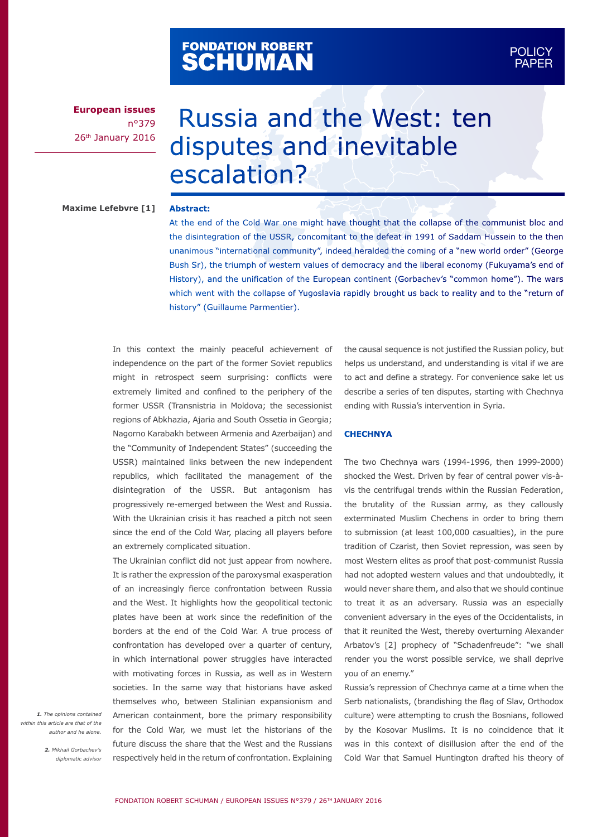# FONDATION ROBERT<br>**SCHUMAN**

**European issues** n°379 26<sup>th</sup> January 2016

# Russia and the West: ten disputes and inevitable escalation?

# **Maxime Lefebvre [1]**

#### **Abstract:**

At the end of the Cold War one might have thought that the collapse of the communist bloc and the disintegration of the USSR, concomitant to the defeat in 1991 of Saddam Hussein to the then unanimous "international community", indeed heralded the coming of a "new world order" (George Bush Sr), the triumph of western values of democracy and the liberal economy (Fukuyama's end of History), and the unification of the European continent (Gorbachev's "common home"). The wars which went with the collapse of Yugoslavia rapidly brought us back to reality and to the "return of history" (Guillaume Parmentier).

In this context the mainly peaceful achievement of independence on the part of the former Soviet republics might in retrospect seem surprising: conflicts were extremely limited and confined to the periphery of the former USSR (Transnistria in Moldova; the secessionist regions of Abkhazia, Ajaria and South Ossetia in Georgia; Nagorno Karabakh between Armenia and Azerbaijan) and the "Community of Independent States" (succeeding the USSR) maintained links between the new independent republics, which facilitated the management of the disintegration of the USSR. But antagonism has progressively re-emerged between the West and Russia. With the Ukrainian crisis it has reached a pitch not seen since the end of the Cold War, placing all players before an extremely complicated situation.

The Ukrainian conflict did not just appear from nowhere. It is rather the expression of the paroxysmal exasperation of an increasingly fierce confrontation between Russia and the West. It highlights how the geopolitical tectonic plates have been at work since the redefinition of the borders at the end of the Cold War. A true process of confrontation has developed over a quarter of century, in which international power struggles have interacted with motivating forces in Russia, as well as in Western societies. In the same way that historians have asked themselves who, between Stalinian expansionism and American containment, bore the primary responsibility for the Cold War, we must let the historians of the future discuss the share that the West and the Russians respectively held in the return of confrontation. Explaining

the causal sequence is not justified the Russian policy, but helps us understand, and understanding is vital if we are to act and define a strategy. For convenience sake let us describe a series of ten disputes, starting with Chechnya ending with Russia's intervention in Syria.

# **CHECHNYA**

The two Chechnya wars (1994-1996, then 1999-2000) shocked the West. Driven by fear of central power vis-àvis the centrifugal trends within the Russian Federation, the brutality of the Russian army, as they callously exterminated Muslim Chechens in order to bring them to submission (at least 100,000 casualties), in the pure tradition of Czarist, then Soviet repression, was seen by most Western elites as proof that post-communist Russia had not adopted western values and that undoubtedly, it would never share them, and also that we should continue to treat it as an adversary. Russia was an especially convenient adversary in the eyes of the Occidentalists, in that it reunited the West, thereby overturning Alexander Arbatov's [2] prophecy of "Schadenfreude": "we shall render you the worst possible service, we shall deprive you of an enemy."

Russia's repression of Chechnya came at a time when the Serb nationalists, (brandishing the flag of Slav, Orthodox culture) were attempting to crush the Bosnians, followed by the Kosovar Muslims. It is no coincidence that it was in this context of disillusion after the end of the Cold War that Samuel Huntington drafted his theory of

*1. The opinions contained within this article are that of the author and he alone.*

> *2. Mikhail Gorbachev's diplomatic advisor*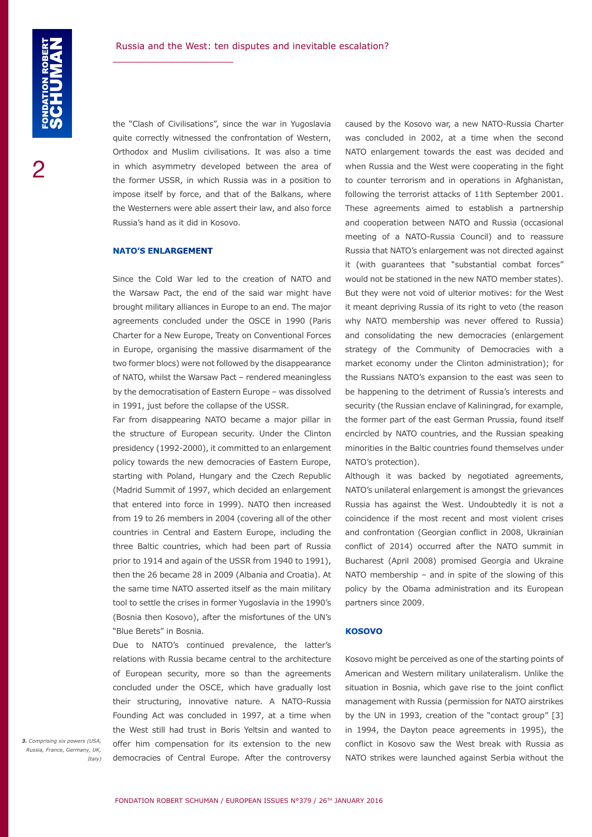the "Clash of Civilisations", since the war in Yugoslavia quite correctly witnessed the confrontation of Western, Orthodox and Muslim civilisations. It was also a time in which asymmetry developed between the area of the former USSR, in which Russia was in a position to impose itself by force, and that of the Balkans, where the Westerners were able assert their law, and also force Russia's hand as it did in Kosovo.

#### **NATO'S ENLARGEMENT**

Since the Cold War led to the creation of NATO and the Warsaw Pact, the end of the said war might have brought military alliances in Europe to an end. The major agreements concluded under the OSCE in 1990 (Paris Charter for a New Europe, Treaty on Conventional Forces in Europe, organising the massive disarmament of the two former blocs) were not followed by the disappearance of NATO, whilst the Warsaw Pact – rendered meaningless by the democratisation of Eastern Europe – was dissolved in 1991, just before the collapse of the USSR.

Far from disappearing NATO became a major pillar in the structure of European security. Under the Clinton presidency (1992-2000), it committed to an enlargement policy towards the new democracies of Eastern Europe, starting with Poland, Hungary and the Czech Republic (Madrid Summit of 1997, which decided an enlargement that entered into force in 1999). NATO then increased from 19 to 26 members in 2004 (covering all of the other countries in Central and Eastern Europe, including the three Baltic countries, which had been part of Russia prior to 1914 and again of the USSR from 1940 to 1991), then the 26 became 28 in 2009 (Albania and Croatia). At the same time NATO asserted itself as the main military tool to settle the crises in former Yugoslavia in the 1990's (Bosnia then Kosovo), after the misfortunes of the UN's "Blue Berets" in Bosnia.

Due to NATO's continued prevalence, the latter's relations with Russia became central to the architecture of European security, more so than the agreements concluded under the OSCE, which have gradually lost their structuring, innovative nature. A NATO-Russia Founding Act was concluded in 1997, at a time when the West still had trust in Boris Yeltsin and wanted to offer him compensation for its extension to the new democracies of Central Europe. After the controversy

caused by the Kosovo war, a new NATO-Russia Charter was concluded in 2002, at a time when the second NATO enlargement towards the east was decided and when Russia and the West were cooperating in the fight to counter terrorism and in operations in Afghanistan, following the terrorist attacks of 11th September 2001. These agreements aimed to establish a partnership and cooperation between NATO and Russia (occasional meeting of a NATO-Russia Council) and to reassure Russia that NATO's enlargement was not directed against it (with guarantees that "substantial combat forces" would not be stationed in the new NATO member states). But they were not void of ulterior motives: for the West it meant depriving Russia of its right to veto (the reason why NATO membership was never offered to Russia) and consolidating the new democracies (enlargement strategy of the Community of Democracies with a market economy under the Clinton administration); for the Russians NATO's expansion to the east was seen to be happening to the detriment of Russia's interests and security (the Russian enclave of Kaliningrad, for example, the former part of the east German Prussia, found itself encircled by NATO countries, and the Russian speaking minorities in the Baltic countries found themselves under NATO's protection).

Although it was backed by negotiated agreements, NATO's unilateral enlargement is amongst the grievances Russia has against the West. Undoubtedly it is not a coincidence if the most recent and most violent crises and confrontation (Georgian conflict in 2008, Ukrainian conflict of 2014) occurred after the NATO summit in Bucharest (April 2008) promised Georgia and Ukraine NATO membership – and in spite of the slowing of this policy by the Obama administration and its European partners since 2009.

#### **KOSOVO**

Kosovo might be perceived as one of the starting points of American and Western military unilateralism. Unlike the situation in Bosnia, which gave rise to the joint conflict management with Russia (permission for NATO airstrikes by the UN in 1993, creation of the "contact group" [3] in 1994, the Dayton peace agreements in 1995), the conflict in Kosovo saw the West break with Russia as NATO strikes were launched against Serbia without the

*3. Comprising six powers (USA, Russia, France, Germany, UK, Italy)*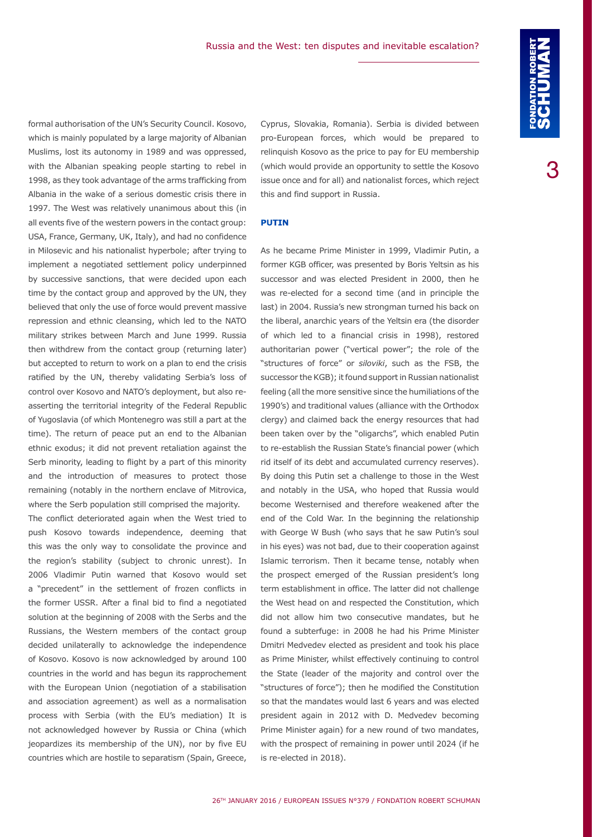Cyprus, Slovakia, Romania). Serbia is divided between pro-European forces, which would be prepared to relinquish Kosovo as the price to pay for EU membership (which would provide an opportunity to settle the Kosovo issue once and for all) and nationalist forces, which reject this and find support in Russia.

# **PUTIN**

As he became Prime Minister in 1999, Vladimir Putin, a former KGB officer, was presented by Boris Yeltsin as his successor and was elected President in 2000, then he was re-elected for a second time (and in principle the last) in 2004. Russia's new strongman turned his back on the liberal, anarchic years of the Yeltsin era (the disorder of which led to a financial crisis in 1998), restored authoritarian power ("vertical power"; the role of the "structures of force" or *siloviki*, such as the FSB, the successor the KGB); it found support in Russian nationalist feeling (all the more sensitive since the humiliations of the 1990's) and traditional values (alliance with the Orthodox clergy) and claimed back the energy resources that had been taken over by the "oligarchs", which enabled Putin to re-establish the Russian State's financial power (which rid itself of its debt and accumulated currency reserves). By doing this Putin set a challenge to those in the West and notably in the USA, who hoped that Russia would become Westernised and therefore weakened after the end of the Cold War. In the beginning the relationship with George W Bush (who says that he saw Putin's soul in his eyes) was not bad, due to their cooperation against Islamic terrorism. Then it became tense, notably when the prospect emerged of the Russian president's long term establishment in office. The latter did not challenge the West head on and respected the Constitution, which did not allow him two consecutive mandates, but he found a subterfuge: in 2008 he had his Prime Minister Dmitri Medvedev elected as president and took his place as Prime Minister, whilst effectively continuing to control the State (leader of the majority and control over the "structures of force"); then he modified the Constitution so that the mandates would last 6 years and was elected president again in 2012 with D. Medvedev becoming Prime Minister again) for a new round of two mandates, with the prospect of remaining in power until 2024 (if he is re-elected in 2018).

formal authorisation of the UN's Security Council. Kosovo, which is mainly populated by a large majority of Albanian Muslims, lost its autonomy in 1989 and was oppressed, with the Albanian speaking people starting to rebel in 1998, as they took advantage of the arms trafficking from Albania in the wake of a serious domestic crisis there in 1997. The West was relatively unanimous about this (in all events five of the western powers in the contact group: USA, France, Germany, UK, Italy), and had no confidence in Milosevic and his nationalist hyperbole; after trying to implement a negotiated settlement policy underpinned by successive sanctions, that were decided upon each time by the contact group and approved by the UN, they believed that only the use of force would prevent massive repression and ethnic cleansing, which led to the NATO military strikes between March and June 1999. Russia then withdrew from the contact group (returning later) but accepted to return to work on a plan to end the crisis ratified by the UN, thereby validating Serbia's loss of control over Kosovo and NATO's deployment, but also reasserting the territorial integrity of the Federal Republic of Yugoslavia (of which Montenegro was still a part at the time). The return of peace put an end to the Albanian ethnic exodus; it did not prevent retaliation against the Serb minority, leading to flight by a part of this minority and the introduction of measures to protect those remaining (notably in the northern enclave of Mitrovica, where the Serb population still comprised the majority.

The conflict deteriorated again when the West tried to push Kosovo towards independence, deeming that this was the only way to consolidate the province and the region's stability (subject to chronic unrest). In 2006 Vladimir Putin warned that Kosovo would set a "precedent" in the settlement of frozen conflicts in the former USSR. After a final bid to find a negotiated solution at the beginning of 2008 with the Serbs and the Russians, the Western members of the contact group decided unilaterally to acknowledge the independence of Kosovo. Kosovo is now acknowledged by around 100 countries in the world and has begun its rapprochement with the European Union (negotiation of a stabilisation and association agreement) as well as a normalisation process with Serbia (with the EU's mediation) It is not acknowledged however by Russia or China (which jeopardizes its membership of the UN), nor by five EU countries which are hostile to separatism (Spain, Greece,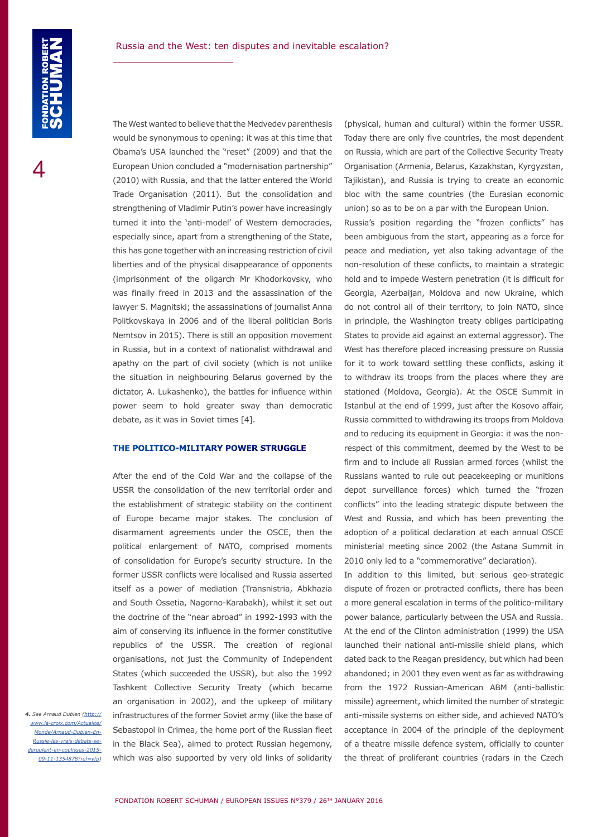The West wanted to believe that the Medvedev parenthesis would be synonymous to opening: it was at this time that Obama's USA launched the "reset" (2009) and that the European Union concluded a "modernisation partnership" (2010) with Russia, and that the latter entered the World Trade Organisation (2011). But the consolidation and strengthening of Vladimir Putin's power have increasingly turned it into the 'anti-model' of Western democracies, especially since, apart from a strengthening of the State, this has gone together with an increasing restriction of civil liberties and of the physical disappearance of opponents (imprisonment of the oligarch Mr Khodorkovsky, who was finally freed in 2013 and the assassination of the lawyer S. Magnitski; the assassinations of journalist Anna Politkovskaya in 2006 and of the liberal politician Boris Nemtsov in 2015). There is still an opposition movement in Russia, but in a context of nationalist withdrawal and apathy on the part of civil society (which is not unlike the situation in neighbouring Belarus governed by the dictator, A. Lukashenko), the battles for influence within power seem to hold greater sway than democratic debate, as it was in Soviet times [4].

## **THE POLITICO-MILITARY POWER STRUGGLE**

After the end of the Cold War and the collapse of the USSR the consolidation of the new territorial order and the establishment of strategic stability on the continent of Europe became major stakes. The conclusion of disarmament agreements under the OSCE, then the political enlargement of NATO, comprised moments of consolidation for Europe's security structure. In the former USSR conflicts were localised and Russia asserted itself as a power of mediation (Transnistria, Abkhazia and South Ossetia, Nagorno-Karabakh), whilst it set out the doctrine of the "near abroad" in 1992-1993 with the aim of conserving its influence in the former constitutive republics of the USSR. The creation of regional organisations, not just the Community of Independent States (which succeeded the USSR), but also the 1992 Tashkent Collective Security Treaty (which became an organisation in 2002), and the upkeep of military infrastructures of the former Soviet army (like the base of Sebastopol in Crimea, the home port of the Russian fleet in the Black Sea), aimed to protect Russian hegemony, which was also supported by very old links of solidarity

*4. See Arnaud Dubien [\(http://](http://www.la-croix.com/Actualite/Monde/Arnaud-Dubien-En-Russie-les-vrais-debats-se-deroulent-en-cou) [www.la-croix.com/Actualite/](http://www.la-croix.com/Actualite/Monde/Arnaud-Dubien-En-Russie-les-vrais-debats-se-deroulent-en-cou) [Monde/Arnaud-Dubien-En-](http://www.la-croix.com/Actualite/Monde/Arnaud-Dubien-En-Russie-les-vrais-debats-se-deroulent-en-cou)[Russie-les-vrais-debats-se](http://www.la-croix.com/Actualite/Monde/Arnaud-Dubien-En-Russie-les-vrais-debats-se-deroulent-en-cou)[deroulent-en-coulisses-2015-](http://www.la-croix.com/Actualite/Monde/Arnaud-Dubien-En-Russie-les-vrais-debats-se-deroulent-en-cou) [09-11-1354878?ref=yfp\)](http://www.la-croix.com/Actualite/Monde/Arnaud-Dubien-En-Russie-les-vrais-debats-se-deroulent-en-cou)*  (physical, human and cultural) within the former USSR. Today there are only five countries, the most dependent on Russia, which are part of the Collective Security Treaty Organisation (Armenia, Belarus, Kazakhstan, Kyrgyzstan, Tajikistan), and Russia is trying to create an economic bloc with the same countries (the Eurasian economic union) so as to be on a par with the European Union.

Russia's position regarding the "frozen conflicts" has been ambiguous from the start, appearing as a force for peace and mediation, yet also taking advantage of the non-resolution of these conflicts, to maintain a strategic hold and to impede Western penetration (it is difficult for Georgia, Azerbaijan, Moldova and now Ukraine, which do not control all of their territory, to join NATO, since in principle, the Washington treaty obliges participating States to provide aid against an external aggressor). The West has therefore placed increasing pressure on Russia for it to work toward settling these conflicts, asking it to withdraw its troops from the places where they are stationed (Moldova, Georgia). At the OSCE Summit in Istanbul at the end of 1999, just after the Kosovo affair, Russia committed to withdrawing its troops from Moldova and to reducing its equipment in Georgia: it was the nonrespect of this commitment, deemed by the West to be firm and to include all Russian armed forces (whilst the Russians wanted to rule out peacekeeping or munitions depot surveillance forces) which turned the "frozen conflicts" into the leading strategic dispute between the West and Russia, and which has been preventing the adoption of a political declaration at each annual OSCE ministerial meeting since 2002 (the Astana Summit in 2010 only led to a "commemorative" declaration).

In addition to this limited, but serious geo-strategic dispute of frozen or protracted conflicts, there has been a more general escalation in terms of the politico-military power balance, particularly between the USA and Russia. At the end of the Clinton administration (1999) the USA launched their national anti-missile shield plans, which dated back to the Reagan presidency, but which had been abandoned; in 2001 they even went as far as withdrawing from the 1972 Russian-American ABM (anti-ballistic missile) agreement, which limited the number of strategic anti-missile systems on either side, and achieved NATO's acceptance in 2004 of the principle of the deployment of a theatre missile defence system, officially to counter the threat of proliferant countries (radars in the Czech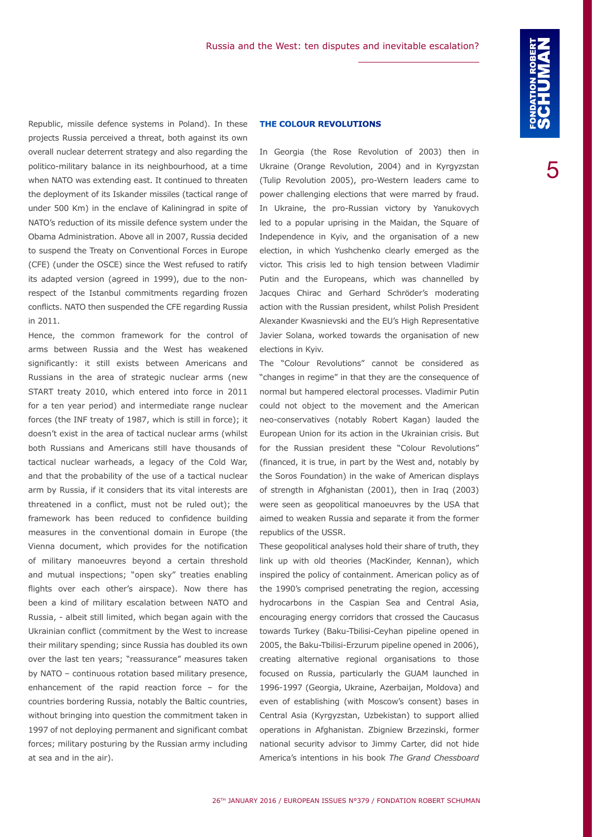Republic, missile defence systems in Poland). In these projects Russia perceived a threat, both against its own overall nuclear deterrent strategy and also regarding the politico-military balance in its neighbourhood, at a time when NATO was extending east. It continued to threaten the deployment of its Iskander missiles (tactical range of under 500 Km) in the enclave of Kaliningrad in spite of NATO's reduction of its missile defence system under the Obama Administration. Above all in 2007, Russia decided to suspend the Treaty on Conventional Forces in Europe (CFE) (under the OSCE) since the West refused to ratify its adapted version (agreed in 1999), due to the nonrespect of the Istanbul commitments regarding frozen conflicts. NATO then suspended the CFE regarding Russia in 2011.

Hence, the common framework for the control of arms between Russia and the West has weakened significantly: it still exists between Americans and Russians in the area of strategic nuclear arms (new START treaty 2010, which entered into force in 2011 for a ten year period) and intermediate range nuclear forces (the INF treaty of 1987, which is still in force); it doesn't exist in the area of tactical nuclear arms (whilst both Russians and Americans still have thousands of tactical nuclear warheads, a legacy of the Cold War, and that the probability of the use of a tactical nuclear arm by Russia, if it considers that its vital interests are threatened in a conflict, must not be ruled out); the framework has been reduced to confidence building measures in the conventional domain in Europe (the Vienna document, which provides for the notification of military manoeuvres beyond a certain threshold and mutual inspections; "open sky" treaties enabling flights over each other's airspace). Now there has been a kind of military escalation between NATO and Russia, - albeit still limited, which began again with the Ukrainian conflict (commitment by the West to increase their military spending; since Russia has doubled its own over the last ten years; "reassurance" measures taken by NATO – continuous rotation based military presence, enhancement of the rapid reaction force – for the countries bordering Russia, notably the Baltic countries, without bringing into question the commitment taken in 1997 of not deploying permanent and significant combat forces; military posturing by the Russian army including at sea and in the air).

# **THE COLOUR REVOLUTIONS**

In Georgia (the Rose Revolution of 2003) then in Ukraine (Orange Revolution, 2004) and in Kyrgyzstan (Tulip Revolution 2005), pro-Western leaders came to power challenging elections that were marred by fraud. In Ukraine, the pro-Russian victory by Yanukovych led to a popular uprising in the Maidan, the Square of Independence in Kyiv, and the organisation of a new election, in which Yushchenko clearly emerged as the victor. This crisis led to high tension between Vladimir Putin and the Europeans, which was channelled by Jacques Chirac and Gerhard Schröder's moderating action with the Russian president, whilst Polish President Alexander Kwasnievski and the EU's High Representative Javier Solana, worked towards the organisation of new elections in Kyiv.

The "Colour Revolutions" cannot be considered as "changes in regime" in that they are the consequence of normal but hampered electoral processes. Vladimir Putin could not object to the movement and the American neo-conservatives (notably Robert Kagan) lauded the European Union for its action in the Ukrainian crisis. But for the Russian president these "Colour Revolutions" (financed, it is true, in part by the West and, notably by the Soros Foundation) in the wake of American displays of strength in Afghanistan (2001), then in Iraq (2003) were seen as geopolitical manoeuvres by the USA that aimed to weaken Russia and separate it from the former republics of the USSR.

These geopolitical analyses hold their share of truth, they link up with old theories (MacKinder, Kennan), which inspired the policy of containment. American policy as of the 1990's comprised penetrating the region, accessing hydrocarbons in the Caspian Sea and Central Asia, encouraging energy corridors that crossed the Caucasus towards Turkey (Baku-Tbilisi-Ceyhan pipeline opened in 2005, the Baku-Tbilisi-Erzurum pipeline opened in 2006), creating alternative regional organisations to those focused on Russia, particularly the GUAM launched in 1996-1997 (Georgia, Ukraine, Azerbaijan, Moldova) and even of establishing (with Moscow's consent) bases in Central Asia (Kyrgyzstan, Uzbekistan) to support allied operations in Afghanistan. Zbigniew Brzezinski, former national security advisor to Jimmy Carter, did not hide America's intentions in his book *The Grand Chessboard*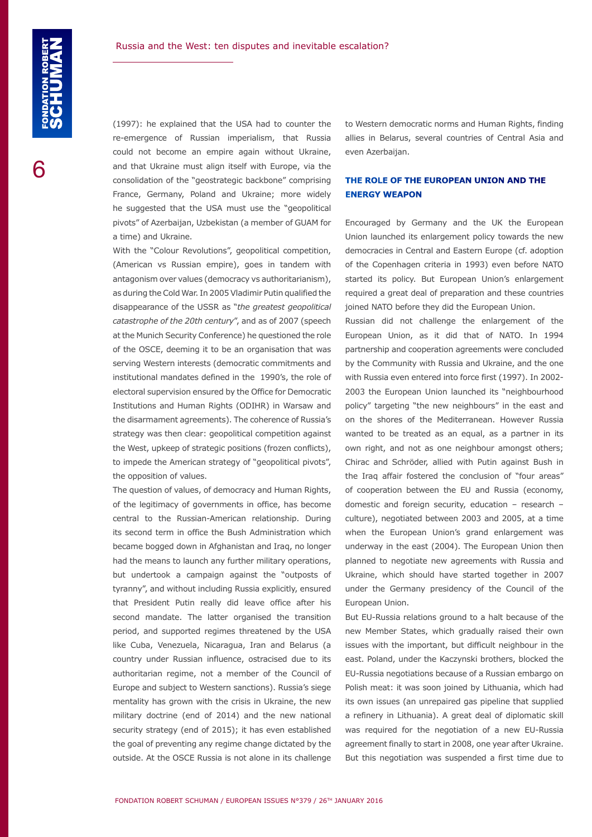(1997): he explained that the USA had to counter the re-emergence of Russian imperialism, that Russia could not become an empire again without Ukraine, and that Ukraine must align itself with Europe, via the consolidation of the "geostrategic backbone" comprising France, Germany, Poland and Ukraine; more widely he suggested that the USA must use the "geopolitical pivots" of Azerbaijan, Uzbekistan (a member of GUAM for a time) and Ukraine.

With the "Colour Revolutions", geopolitical competition, (American vs Russian empire), goes in tandem with antagonism over values (democracy vs authoritarianism), as during the Cold War. In 2005 Vladimir Putin qualified the disappearance of the USSR as "*the greatest geopolitical catastrophe of the 20th century*", and as of 2007 (speech at the Munich Security Conference) he questioned the role of the OSCE, deeming it to be an organisation that was serving Western interests (democratic commitments and institutional mandates defined in the 1990's, the role of electoral supervision ensured by the Office for Democratic Institutions and Human Rights (ODIHR) in Warsaw and the disarmament agreements). The coherence of Russia's strategy was then clear: geopolitical competition against the West, upkeep of strategic positions (frozen conflicts), to impede the American strategy of "geopolitical pivots", the opposition of values.

The question of values, of democracy and Human Rights, of the legitimacy of governments in office, has become central to the Russian-American relationship. During its second term in office the Bush Administration which became bogged down in Afghanistan and Iraq, no longer had the means to launch any further military operations, but undertook a campaign against the "outposts of tyranny", and without including Russia explicitly, ensured that President Putin really did leave office after his second mandate. The latter organised the transition period, and supported regimes threatened by the USA like Cuba, Venezuela, Nicaragua, Iran and Belarus (a country under Russian influence, ostracised due to its authoritarian regime, not a member of the Council of Europe and subject to Western sanctions). Russia's siege mentality has grown with the crisis in Ukraine, the new military doctrine (end of 2014) and the new national security strategy (end of 2015); it has even established the goal of preventing any regime change dictated by the outside. At the OSCE Russia is not alone in its challenge

to Western democratic norms and Human Rights, finding allies in Belarus, several countries of Central Asia and even Azerbaijan.

# **THE ROLE OF THE EUROPEAN UNION AND THE ENERGY WEAPON**

Encouraged by Germany and the UK the European Union launched its enlargement policy towards the new democracies in Central and Eastern Europe (cf. adoption of the Copenhagen criteria in 1993) even before NATO started its policy. But European Union's enlargement required a great deal of preparation and these countries joined NATO before they did the European Union.

Russian did not challenge the enlargement of the European Union, as it did that of NATO. In 1994 partnership and cooperation agreements were concluded by the Community with Russia and Ukraine, and the one with Russia even entered into force first (1997). In 2002- 2003 the European Union launched its "neighbourhood policy" targeting "the new neighbours" in the east and on the shores of the Mediterranean. However Russia wanted to be treated as an equal, as a partner in its own right, and not as one neighbour amongst others; Chirac and Schröder, allied with Putin against Bush in the Iraq affair fostered the conclusion of "four areas" of cooperation between the EU and Russia (economy, domestic and foreign security, education – research – culture), negotiated between 2003 and 2005, at a time when the European Union's grand enlargement was underway in the east (2004). The European Union then planned to negotiate new agreements with Russia and Ukraine, which should have started together in 2007 under the Germany presidency of the Council of the European Union.

But EU-Russia relations ground to a halt because of the new Member States, which gradually raised their own issues with the important, but difficult neighbour in the east. Poland, under the Kaczynski brothers, blocked the EU-Russia negotiations because of a Russian embargo on Polish meat: it was soon joined by Lithuania, which had its own issues (an unrepaired gas pipeline that supplied a refinery in Lithuania). A great deal of diplomatic skill was required for the negotiation of a new EU-Russia agreement finally to start in 2008, one year after Ukraine. But this negotiation was suspended a first time due to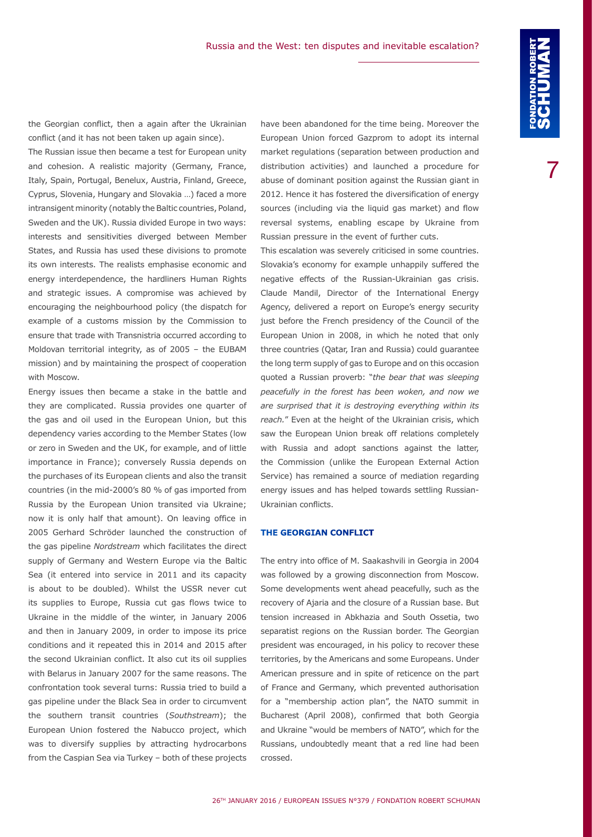the Georgian conflict, then a again after the Ukrainian conflict (and it has not been taken up again since).

The Russian issue then became a test for European unity and cohesion. A realistic majority (Germany, France, Italy, Spain, Portugal, Benelux, Austria, Finland, Greece, Cyprus, Slovenia, Hungary and Slovakia …) faced a more intransigent minority (notably the Baltic countries, Poland, Sweden and the UK). Russia divided Europe in two ways: interests and sensitivities diverged between Member States, and Russia has used these divisions to promote its own interests. The realists emphasise economic and energy interdependence, the hardliners Human Rights and strategic issues. A compromise was achieved by encouraging the neighbourhood policy (the dispatch for example of a customs mission by the Commission to ensure that trade with Transnistria occurred according to Moldovan territorial integrity, as of 2005 – the EUBAM mission) and by maintaining the prospect of cooperation with Moscow.

Energy issues then became a stake in the battle and they are complicated. Russia provides one quarter of the gas and oil used in the European Union, but this dependency varies according to the Member States (low or zero in Sweden and the UK, for example, and of little importance in France); conversely Russia depends on the purchases of its European clients and also the transit countries (in the mid-2000's 80 % of gas imported from Russia by the European Union transited via Ukraine; now it is only half that amount). On leaving office in 2005 Gerhard Schröder launched the construction of the gas pipeline *Nordstream* which facilitates the direct supply of Germany and Western Europe via the Baltic Sea (it entered into service in 2011 and its capacity is about to be doubled). Whilst the USSR never cut its supplies to Europe, Russia cut gas flows twice to Ukraine in the middle of the winter, in January 2006 and then in January 2009, in order to impose its price conditions and it repeated this in 2014 and 2015 after the second Ukrainian conflict. It also cut its oil supplies with Belarus in January 2007 for the same reasons. The confrontation took several turns: Russia tried to build a gas pipeline under the Black Sea in order to circumvent the southern transit countries (*Southstream*); the European Union fostered the Nabucco project, which was to diversify supplies by attracting hydrocarbons from the Caspian Sea via Turkey – both of these projects

have been abandoned for the time being. Moreover the European Union forced Gazprom to adopt its internal market regulations (separation between production and distribution activities) and launched a procedure for abuse of dominant position against the Russian giant in 2012. Hence it has fostered the diversification of energy sources (including via the liquid gas market) and flow reversal systems, enabling escape by Ukraine from Russian pressure in the event of further cuts.

This escalation was severely criticised in some countries. Slovakia's economy for example unhappily suffered the negative effects of the Russian-Ukrainian gas crisis. Claude Mandil, Director of the International Energy Agency, delivered a report on Europe's energy security just before the French presidency of the Council of the European Union in 2008, in which he noted that only three countries (Qatar, Iran and Russia) could guarantee the long term supply of gas to Europe and on this occasion quoted a Russian proverb: "*the bear that was sleeping peacefully in the forest has been woken, and now we are surprised that it is destroying everything within its reach.*" Even at the height of the Ukrainian crisis, which saw the European Union break off relations completely with Russia and adopt sanctions against the latter, the Commission (unlike the European External Action Service) has remained a source of mediation regarding energy issues and has helped towards settling Russian-Ukrainian conflicts.

# **THE GEORGIAN CONFLICT**

The entry into office of M. Saakashvili in Georgia in 2004 was followed by a growing disconnection from Moscow. Some developments went ahead peacefully, such as the recovery of Ajaria and the closure of a Russian base. But tension increased in Abkhazia and South Ossetia, two separatist regions on the Russian border. The Georgian president was encouraged, in his policy to recover these territories, by the Americans and some Europeans. Under American pressure and in spite of reticence on the part of France and Germany, which prevented authorisation for a "membership action plan", the NATO summit in Bucharest (April 2008), confirmed that both Georgia and Ukraine "would be members of NATO", which for the Russians, undoubtedly meant that a red line had been crossed.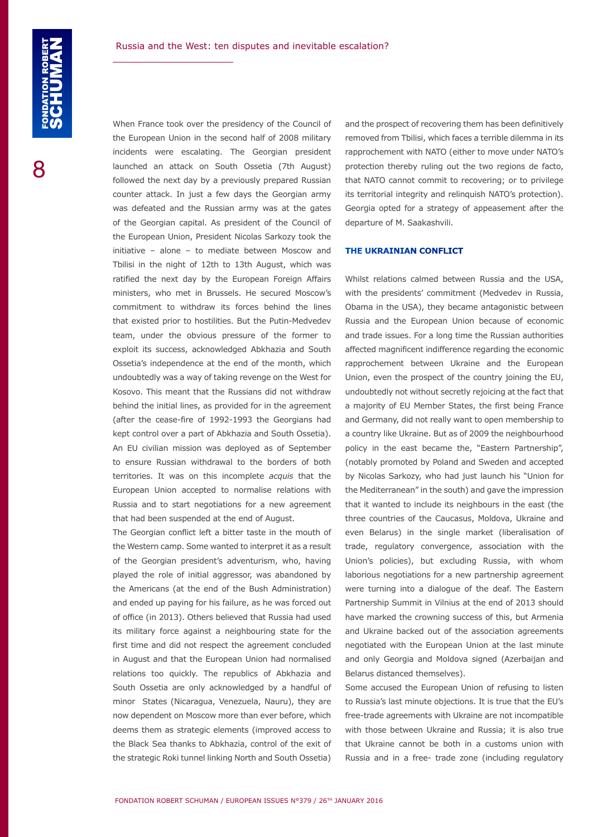When France took over the presidency of the Council of the European Union in the second half of 2008 military incidents were escalating. The Georgian president launched an attack on South Ossetia (7th August) followed the next day by a previously prepared Russian counter attack. In just a few days the Georgian army was defeated and the Russian army was at the gates of the Georgian capital. As president of the Council of the European Union, President Nicolas Sarkozy took the initiative – alone – to mediate between Moscow and Tbilisi in the night of 12th to 13th August, which was ratified the next day by the European Foreign Affairs ministers, who met in Brussels. He secured Moscow's commitment to withdraw its forces behind the lines that existed prior to hostilities. But the Putin-Medvedev team, under the obvious pressure of the former to exploit its success, acknowledged Abkhazia and South Ossetia's independence at the end of the month, which undoubtedly was a way of taking revenge on the West for Kosovo. This meant that the Russians did not withdraw behind the initial lines, as provided for in the agreement (after the cease-fire of 1992-1993 the Georgians had kept control over a part of Abkhazia and South Ossetia). An EU civilian mission was deployed as of September to ensure Russian withdrawal to the borders of both territories. It was on this incomplete *acquis* that the European Union accepted to normalise relations with Russia and to start negotiations for a new agreement that had been suspended at the end of August.

The Georgian conflict left a bitter taste in the mouth of the Western camp. Some wanted to interpret it as a result of the Georgian president's adventurism, who, having played the role of initial aggressor, was abandoned by the Americans (at the end of the Bush Administration) and ended up paying for his failure, as he was forced out of office (in 2013). Others believed that Russia had used its military force against a neighbouring state for the first time and did not respect the agreement concluded in August and that the European Union had normalised relations too quickly. The republics of Abkhazia and South Ossetia are only acknowledged by a handful of minor States (Nicaragua, Venezuela, Nauru), they are now dependent on Moscow more than ever before, which deems them as strategic elements (improved access to the Black Sea thanks to Abkhazia, control of the exit of the strategic Roki tunnel linking North and South Ossetia)

and the prospect of recovering them has been definitively removed from Tbilisi, which faces a terrible dilemma in its rapprochement with NATO (either to move under NATO's protection thereby ruling out the two regions de facto, that NATO cannot commit to recovering; or to privilege its territorial integrity and relinquish NATO's protection). Georgia opted for a strategy of appeasement after the departure of M. Saakashvili.

#### **THE UKRAINIAN CONFLICT**

Whilst relations calmed between Russia and the USA, with the presidents' commitment (Medvedev in Russia, Obama in the USA), they became antagonistic between Russia and the European Union because of economic and trade issues. For a long time the Russian authorities affected magnificent indifference regarding the economic rapprochement between Ukraine and the European Union, even the prospect of the country joining the EU, undoubtedly not without secretly rejoicing at the fact that a majority of EU Member States, the first being France and Germany, did not really want to open membership to a country like Ukraine. But as of 2009 the neighbourhood policy in the east became the, "Eastern Partnership", (notably promoted by Poland and Sweden and accepted by Nicolas Sarkozy, who had just launch his "Union for the Mediterranean" in the south) and gave the impression that it wanted to include its neighbours in the east (the three countries of the Caucasus, Moldova, Ukraine and even Belarus) in the single market (liberalisation of trade, regulatory convergence, association with the Union's policies), but excluding Russia, with whom laborious negotiations for a new partnership agreement were turning into a dialogue of the deaf. The Eastern Partnership Summit in Vilnius at the end of 2013 should have marked the crowning success of this, but Armenia and Ukraine backed out of the association agreements negotiated with the European Union at the last minute and only Georgia and Moldova signed (Azerbaijan and Belarus distanced themselves).

Some accused the European Union of refusing to listen to Russia's last minute objections. It is true that the EU's free-trade agreements with Ukraine are not incompatible with those between Ukraine and Russia; it is also true that Ukraine cannot be both in a customs union with Russia and in a free- trade zone (including regulatory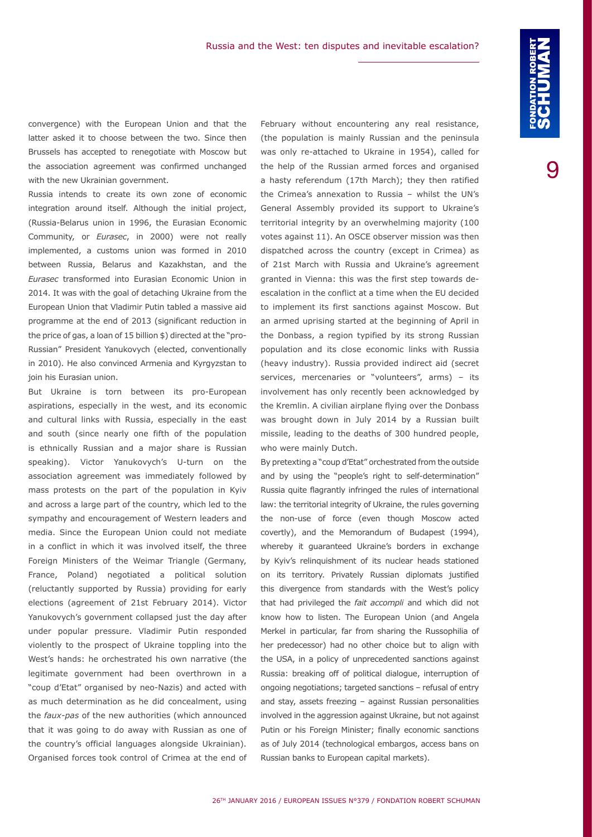convergence) with the European Union and that the latter asked it to choose between the two. Since then Brussels has accepted to renegotiate with Moscow but the association agreement was confirmed unchanged with the new Ukrainian government.

Russia intends to create its own zone of economic integration around itself. Although the initial project, (Russia-Belarus union in 1996, the Eurasian Economic Community, or *Eurasec*, in 2000) were not really implemented, a customs union was formed in 2010 between Russia, Belarus and Kazakhstan, and the *Eurasec* transformed into Eurasian Economic Union in 2014. It was with the goal of detaching Ukraine from the European Union that Vladimir Putin tabled a massive aid programme at the end of 2013 (significant reduction in the price of gas, a loan of 15 billion \$) directed at the "pro-Russian" President Yanukovych (elected, conventionally in 2010). He also convinced Armenia and Kyrgyzstan to join his Eurasian union.

But Ukraine is torn between its pro-European aspirations, especially in the west, and its economic and cultural links with Russia, especially in the east and south (since nearly one fifth of the population is ethnically Russian and a major share is Russian speaking). Victor Yanukovych's U-turn on the association agreement was immediately followed by mass protests on the part of the population in Kyiv and across a large part of the country, which led to the sympathy and encouragement of Western leaders and media. Since the European Union could not mediate in a conflict in which it was involved itself, the three Foreign Ministers of the Weimar Triangle (Germany, France, Poland) negotiated a political solution (reluctantly supported by Russia) providing for early elections (agreement of 21st February 2014). Victor Yanukovych's government collapsed just the day after under popular pressure. Vladimir Putin responded violently to the prospect of Ukraine toppling into the West's hands: he orchestrated his own narrative (the legitimate government had been overthrown in a "coup d'Etat" organised by neo-Nazis) and acted with as much determination as he did concealment, using the *faux-pas* of the new authorities (which announced that it was going to do away with Russian as one of the country's official languages alongside Ukrainian). Organised forces took control of Crimea at the end of

February without encountering any real resistance, (the population is mainly Russian and the peninsula was only re-attached to Ukraine in 1954), called for the help of the Russian armed forces and organised a hasty referendum (17th March); they then ratified the Crimea's annexation to Russia – whilst the UN's General Assembly provided its support to Ukraine's territorial integrity by an overwhelming majority (100 votes against 11). An OSCE observer mission was then dispatched across the country (except in Crimea) as of 21st March with Russia and Ukraine's agreement granted in Vienna: this was the first step towards deescalation in the conflict at a time when the EU decided to implement its first sanctions against Moscow. But an armed uprising started at the beginning of April in the Donbass, a region typified by its strong Russian population and its close economic links with Russia (heavy industry). Russia provided indirect aid (secret services, mercenaries or "volunteers", arms) - its involvement has only recently been acknowledged by the Kremlin. A civilian airplane flying over the Donbass was brought down in July 2014 by a Russian built missile, leading to the deaths of 300 hundred people, who were mainly Dutch.

By pretexting a "coup d'Etat" orchestrated from the outside and by using the "people's right to self-determination" Russia quite flagrantly infringed the rules of international law: the territorial integrity of Ukraine, the rules governing the non-use of force (even though Moscow acted covertly), and the Memorandum of Budapest (1994), whereby it guaranteed Ukraine's borders in exchange by Kyiv's relinquishment of its nuclear heads stationed on its territory. Privately Russian diplomats justified this divergence from standards with the West's policy that had privileged the *fait accompli* and which did not know how to listen. The European Union (and Angela Merkel in particular, far from sharing the Russophilia of her predecessor) had no other choice but to align with the USA, in a policy of unprecedented sanctions against Russia: breaking off of political dialogue, interruption of ongoing negotiations; targeted sanctions – refusal of entry and stay, assets freezing – against Russian personalities involved in the aggression against Ukraine, but not against Putin or his Foreign Minister; finally economic sanctions as of July 2014 (technological embargos, access bans on Russian banks to European capital markets).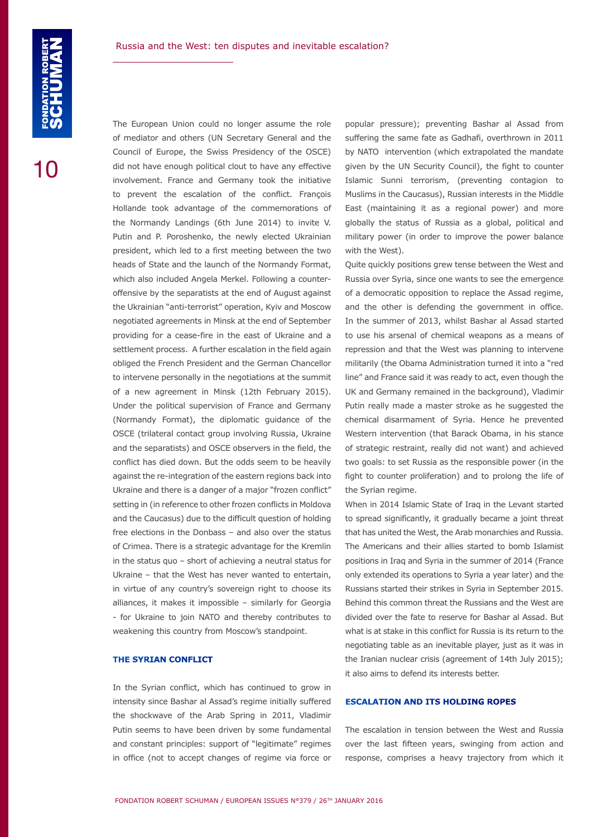The European Union could no longer assume the role of mediator and others (UN Secretary General and the Council of Europe, the Swiss Presidency of the OSCE) did not have enough political clout to have any effective involvement. France and Germany took the initiative to prevent the escalation of the conflict. François Hollande took advantage of the commemorations of the Normandy Landings (6th June 2014) to invite V. Putin and P. Poroshenko, the newly elected Ukrainian president, which led to a first meeting between the two heads of State and the launch of the Normandy Format, which also included Angela Merkel. Following a counteroffensive by the separatists at the end of August against the Ukrainian "anti-terrorist" operation, Kyiv and Moscow negotiated agreements in Minsk at the end of September providing for a cease-fire in the east of Ukraine and a settlement process. A further escalation in the field again obliged the French President and the German Chancellor to intervene personally in the negotiations at the summit of a new agreement in Minsk (12th February 2015). Under the political supervision of France and Germany (Normandy Format), the diplomatic guidance of the OSCE (trilateral contact group involving Russia, Ukraine and the separatists) and OSCE observers in the field, the conflict has died down. But the odds seem to be heavily against the re-integration of the eastern regions back into Ukraine and there is a danger of a major "frozen conflict" setting in (in reference to other frozen conflicts in Moldova and the Caucasus) due to the difficult question of holding free elections in the Donbass – and also over the status of Crimea. There is a strategic advantage for the Kremlin in the status quo – short of achieving a neutral status for Ukraine – that the West has never wanted to entertain, in virtue of any country's sovereign right to choose its alliances, it makes it impossible – similarly for Georgia - for Ukraine to join NATO and thereby contributes to weakening this country from Moscow's standpoint.

# **THE SYRIAN CONFLICT**

In the Syrian conflict, which has continued to grow in intensity since Bashar al Assad's regime initially suffered the shockwave of the Arab Spring in 2011, Vladimir Putin seems to have been driven by some fundamental and constant principles: support of "legitimate" regimes in office (not to accept changes of regime via force or popular pressure); preventing Bashar al Assad from suffering the same fate as Gadhafi, overthrown in 2011 by NATO intervention (which extrapolated the mandate given by the UN Security Council), the fight to counter Islamic Sunni terrorism, (preventing contagion to Muslims in the Caucasus), Russian interests in the Middle East (maintaining it as a regional power) and more globally the status of Russia as a global, political and military power (in order to improve the power balance with the West).

Quite quickly positions grew tense between the West and Russia over Syria, since one wants to see the emergence of a democratic opposition to replace the Assad regime, and the other is defending the government in office. In the summer of 2013, whilst Bashar al Assad started to use his arsenal of chemical weapons as a means of repression and that the West was planning to intervene militarily (the Obama Administration turned it into a "red line" and France said it was ready to act, even though the UK and Germany remained in the background), Vladimir Putin really made a master stroke as he suggested the chemical disarmament of Syria. Hence he prevented Western intervention (that Barack Obama, in his stance of strategic restraint, really did not want) and achieved two goals: to set Russia as the responsible power (in the fight to counter proliferation) and to prolong the life of the Syrian regime.

When in 2014 Islamic State of Iraq in the Levant started to spread significantly, it gradually became a joint threat that has united the West, the Arab monarchies and Russia. The Americans and their allies started to bomb Islamist positions in Iraq and Syria in the summer of 2014 (France only extended its operations to Syria a year later) and the Russians started their strikes in Syria in September 2015. Behind this common threat the Russians and the West are divided over the fate to reserve for Bashar al Assad. But what is at stake in this conflict for Russia is its return to the negotiating table as an inevitable player, just as it was in the Iranian nuclear crisis (agreement of 14th July 2015); it also aims to defend its interests better.

# **ESCALATION AND ITS HOLDING ROPES**

The escalation in tension between the West and Russia over the last fifteen years, swinging from action and response, comprises a heavy trajectory from which it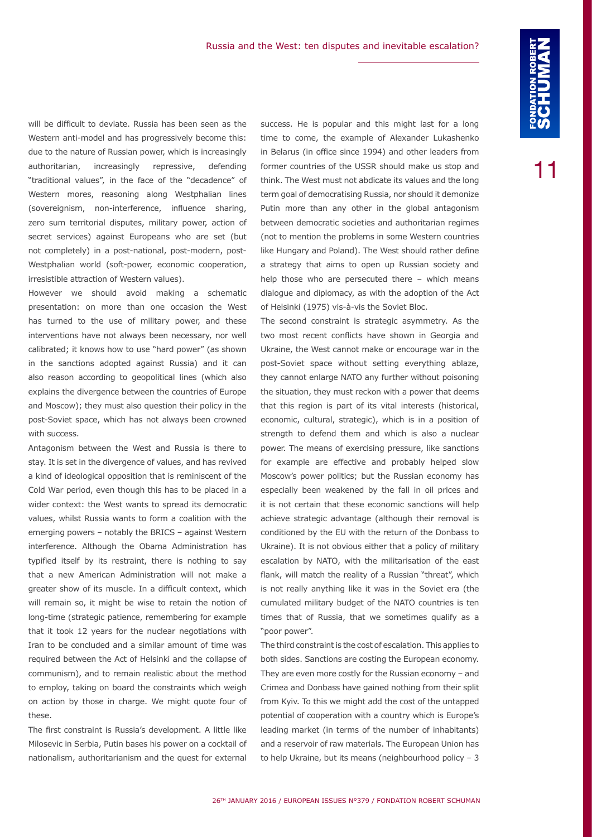will be difficult to deviate. Russia has been seen as the Western anti-model and has progressively become this: due to the nature of Russian power, which is increasingly authoritarian, increasingly repressive, defending "traditional values", in the face of the "decadence" of Western mores, reasoning along Westphalian lines (sovereignism, non-interference, influence sharing, zero sum territorial disputes, military power, action of secret services) against Europeans who are set (but not completely) in a post-national, post-modern, post-Westphalian world (soft-power, economic cooperation, irresistible attraction of Western values).

However we should avoid making a schematic presentation: on more than one occasion the West has turned to the use of military power, and these interventions have not always been necessary, nor well calibrated; it knows how to use "hard power" (as shown in the sanctions adopted against Russia) and it can also reason according to geopolitical lines (which also explains the divergence between the countries of Europe and Moscow); they must also question their policy in the post-Soviet space, which has not always been crowned with success.

Antagonism between the West and Russia is there to stay. It is set in the divergence of values, and has revived a kind of ideological opposition that is reminiscent of the Cold War period, even though this has to be placed in a wider context: the West wants to spread its democratic values, whilst Russia wants to form a coalition with the emerging powers – notably the BRICS – against Western interference. Although the Obama Administration has typified itself by its restraint, there is nothing to say that a new American Administration will not make a greater show of its muscle. In a difficult context, which will remain so, it might be wise to retain the notion of long-time (strategic patience, remembering for example that it took 12 years for the nuclear negotiations with Iran to be concluded and a similar amount of time was required between the Act of Helsinki and the collapse of communism), and to remain realistic about the method to employ, taking on board the constraints which weigh on action by those in charge. We might quote four of these.

The first constraint is Russia's development. A little like Milosevic in Serbia, Putin bases his power on a cocktail of nationalism, authoritarianism and the quest for external success. He is popular and this might last for a long time to come, the example of Alexander Lukashenko in Belarus (in office since 1994) and other leaders from former countries of the USSR should make us stop and think. The West must not abdicate its values and the long term goal of democratising Russia, nor should it demonize Putin more than any other in the global antagonism between democratic societies and authoritarian regimes (not to mention the problems in some Western countries like Hungary and Poland). The West should rather define a strategy that aims to open up Russian society and help those who are persecuted there – which means dialogue and diplomacy, as with the adoption of the Act of Helsinki (1975) vis-à-vis the Soviet Bloc.

The second constraint is strategic asymmetry. As the two most recent conflicts have shown in Georgia and Ukraine, the West cannot make or encourage war in the post-Soviet space without setting everything ablaze, they cannot enlarge NATO any further without poisoning the situation, they must reckon with a power that deems that this region is part of its vital interests (historical, economic, cultural, strategic), which is in a position of strength to defend them and which is also a nuclear power. The means of exercising pressure, like sanctions for example are effective and probably helped slow Moscow's power politics; but the Russian economy has especially been weakened by the fall in oil prices and it is not certain that these economic sanctions will help achieve strategic advantage (although their removal is conditioned by the EU with the return of the Donbass to Ukraine). It is not obvious either that a policy of military escalation by NATO, with the militarisation of the east flank, will match the reality of a Russian "threat", which is not really anything like it was in the Soviet era (the cumulated military budget of the NATO countries is ten times that of Russia, that we sometimes qualify as a "poor power".

The third constraint is the cost of escalation. This applies to both sides. Sanctions are costing the European economy. They are even more costly for the Russian economy – and Crimea and Donbass have gained nothing from their split from Kyiv. To this we might add the cost of the untapped potential of cooperation with a country which is Europe's leading market (in terms of the number of inhabitants) and a reservoir of raw materials. The European Union has to help Ukraine, but its means (neighbourhood policy – 3